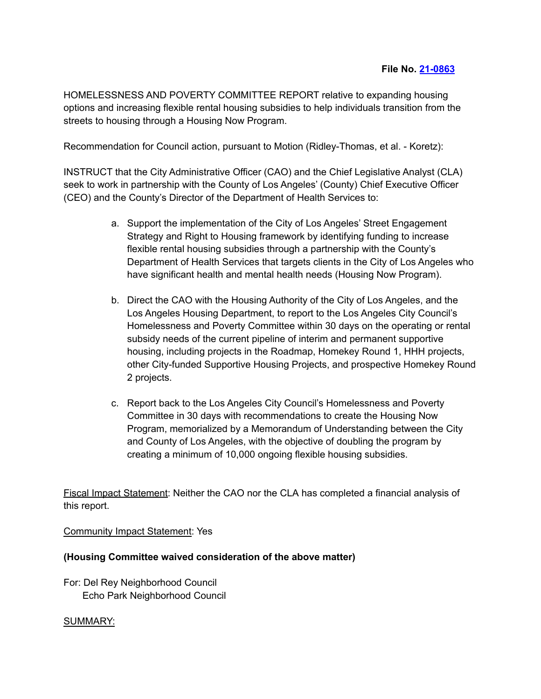HOMELESSNESS AND POVERTY COMMITTEE REPORT relative to expanding housing options and increasing flexible rental housing subsidies to help individuals transition from the streets to housing through a Housing Now Program.

Recommendation for Council action, pursuant to Motion (Ridley-Thomas, et al. - Koretz):

INSTRUCT that the City Administrative Officer (CAO) and the Chief Legislative Analyst (CLA) seek to work in partnership with the County of Los Angeles' (County) Chief Executive Officer (CEO) and the County's Director of the Department of Health Services to:

- a. Support the implementation of the City of Los Angeles' Street Engagement Strategy and Right to Housing framework by identifying funding to increase flexible rental housing subsidies through a partnership with the County's Department of Health Services that targets clients in the City of Los Angeles who have significant health and mental health needs (Housing Now Program).
- b. Direct the CAO with the Housing Authority of the City of Los Angeles, and the Los Angeles Housing Department, to report to the Los Angeles City Council's Homelessness and Poverty Committee within 30 days on the operating or rental subsidy needs of the current pipeline of interim and permanent supportive housing, including projects in the Roadmap, Homekey Round 1, HHH projects, other City-funded Supportive Housing Projects, and prospective Homekey Round 2 projects.
- c. Report back to the Los Angeles City Council's Homelessness and Poverty Committee in 30 days with recommendations to create the Housing Now Program, memorialized by a Memorandum of Understanding between the City and County of Los Angeles, with the objective of doubling the program by creating a minimum of 10,000 ongoing flexible housing subsidies.

Fiscal Impact Statement: Neither the CAO nor the CLA has completed a financial analysis of this report.

Community Impact Statement: Yes

## **(Housing Committee waived consideration of the above matter)**

For: Del Rey Neighborhood Council Echo Park Neighborhood Council

## SUMMARY: